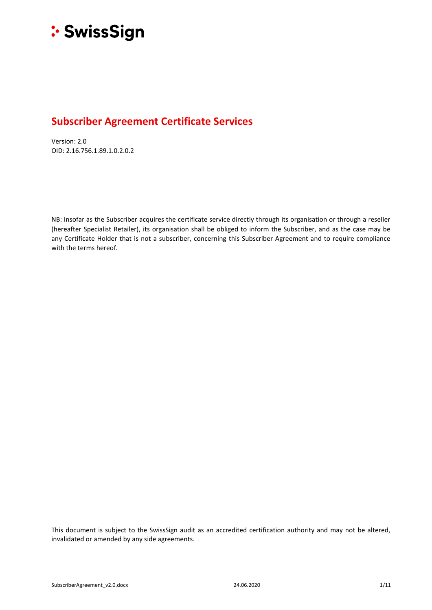

# **Subscriber Agreement Certificate Services**

Version: 2.0 OID: 2.16.756.1.89.1.0.2.0.2

NB: Insofar as the Subscriber acquires the certificate service directly through its organisation or through a reseller (hereafter Specialist Retailer), its organisation shall be obliged to inform the Subscriber, and as the case may be any Certificate Holder that is not a subscriber, concerning this Subscriber Agreement and to require compliance with the terms hereof.

This document is subject to the SwissSign audit as an accredited certification authority and may not be altered, invalidated or amended by any side agreements.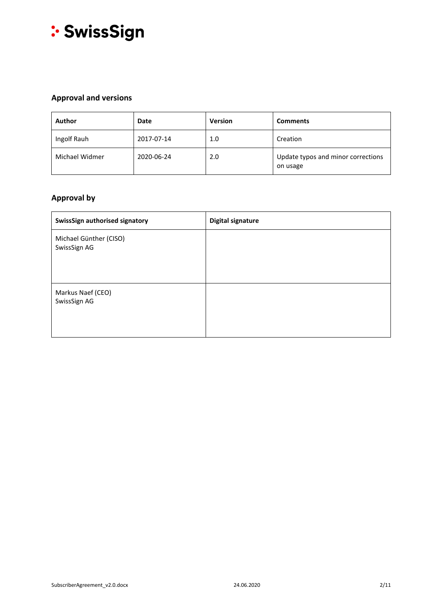

# **Approval and versions**

| <b>Author</b>  | <b>Date</b> | <b>Version</b> | <b>Comments</b>                                |
|----------------|-------------|----------------|------------------------------------------------|
| Ingolf Rauh    | 2017-07-14  | 1.0            | Creation                                       |
| Michael Widmer | 2020-06-24  | 2.0            | Update typos and minor corrections<br>on usage |

# **Approval by**

| SwissSign authorised signatory         | <b>Digital signature</b> |
|----------------------------------------|--------------------------|
| Michael Günther (CISO)<br>SwissSign AG |                          |
| Markus Naef (CEO)<br>SwissSign AG      |                          |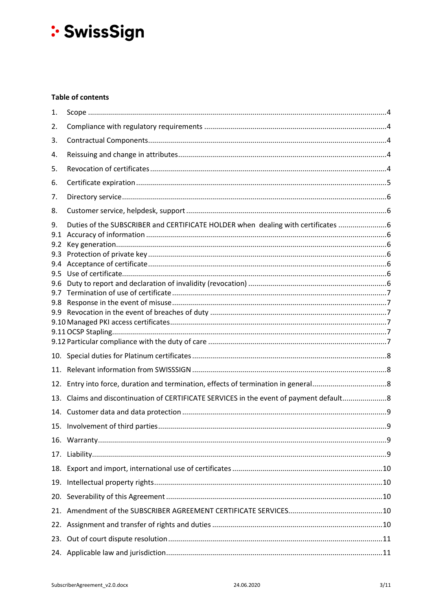# **Table of contents**

| 1.                      |                                                                                     |  |
|-------------------------|-------------------------------------------------------------------------------------|--|
| 2.                      |                                                                                     |  |
| 3.                      |                                                                                     |  |
| 4.                      |                                                                                     |  |
| 5.                      |                                                                                     |  |
| 6.                      |                                                                                     |  |
| 7.                      |                                                                                     |  |
| 8.                      |                                                                                     |  |
| 9.<br>9.1<br>9.2<br>9.3 | Duties of the SUBSCRIBER and CERTIFICATE HOLDER when dealing with certificates  6   |  |
| 9.4<br>9.5              |                                                                                     |  |
| 9.6<br>9.7<br>9.8       |                                                                                     |  |
| 9.9                     |                                                                                     |  |
|                         |                                                                                     |  |
|                         |                                                                                     |  |
|                         |                                                                                     |  |
|                         |                                                                                     |  |
| 12.                     |                                                                                     |  |
| 13.                     | Claims and discontinuation of CERTIFICATE SERVICES in the event of payment default8 |  |
|                         |                                                                                     |  |
|                         |                                                                                     |  |
|                         |                                                                                     |  |
| 17.                     |                                                                                     |  |
|                         |                                                                                     |  |
| 19.                     |                                                                                     |  |
|                         |                                                                                     |  |
|                         |                                                                                     |  |
|                         |                                                                                     |  |
|                         |                                                                                     |  |
|                         |                                                                                     |  |
|                         |                                                                                     |  |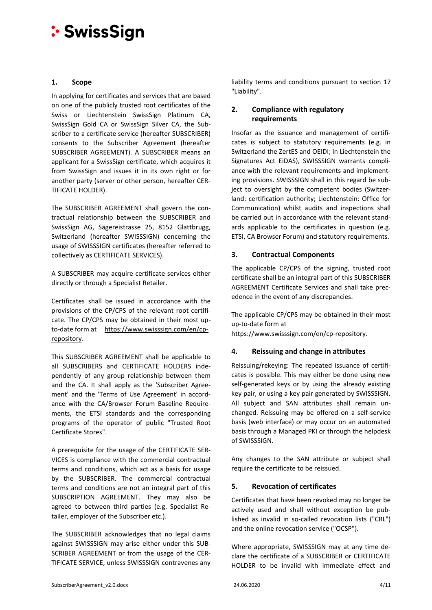# <span id="page-3-0"></span>**1. Scope**

In applying for certificates and services that are based on one of the publicly trusted root certificates of the Swiss or Liechtenstein SwissSign Platinum CA, SwissSign Gold CA or SwissSign Silver CA, the Subscriber to a certificate service (hereafter SUBSCRIBER) consents to the Subscriber Agreement (hereafter SUBSCRIBER AGREEMENT). A SUBSCRIBER means an applicant for a SwissSign certificate, which acquires it from SwissSign and issues it in its own right or for another party (server or other person, hereafter CER-TIFICATE HOLDER).

The SUBSCRIBER AGREEMENT shall govern the contractual relationship between the SUBSCRIBER and SwissSign AG, Sägereistrasse 25, 8152 Glattbrugg, Switzerland (hereafter SWISSSIGN) concerning the usage of SWISSSIGN certificates (hereafter referred to collectively as CERTIFICATE SERVICES).

A SUBSCRIBER may acquire certificate services either directly or through a Specialist Retailer.

Certificates shall be issued in accordance with the provisions of the CP/CPS of the relevant root certificate. The CP/CPS may be obtained in their most upto-date form at [https://www.swisssign.com/en/cp](https://www.swisssign.com/en/cp-repository)[repository.](https://www.swisssign.com/en/cp-repository)

This SUBSCRIBER AGREEMENT shall be applicable to all SUBSCRIBERS and CERTIFICATE HOLDERS independently of any group relationship between them and the CA. It shall apply as the 'Subscriber Agreement' and the 'Terms of Use Agreement' in accordance with the CA/Browser Forum Baseline Requirements, the ETSI standards and the corresponding programs of the operator of public "Trusted Root Certificate Stores".

A prerequisite for the usage of the CERTIFICATE SER-VICES is compliance with the commercial contractual terms and conditions, which act as a basis for usage by the SUBSCRIBER. The commercial contractual terms and conditions are not an integral part of this SUBSCRIPTION AGREEMENT. They may also be agreed to between third parties (e.g. Specialist Retailer, employer of the Subscriber etc.).

The SUBSCRIBER acknowledges that no legal claims against SWISSSIGN may arise either under this SUB-SCRIBER AGREEMENT or from the usage of the CER-TIFICATE SERVICE, unless SWISSSIGN contravenes any liability terms and conditions pursuant to section [17](#page-8-3) "Liability".

# <span id="page-3-1"></span>**2. Compliance with regulatory requirements**

Insofar as the issuance and management of certificates is subject to statutory requirements (e.g. in Switzerland the ZertES and OEIDI; in Liechtenstein the Signatures Act EiDAS), SWISSSIGN warrants compliance with the relevant requirements and implementing provisions. SWISSSIGN shall in this regard be subject to oversight by the competent bodies (Switzerland: certification authority; Liechtenstein: Office for Communication) whilst audits and inspections shall be carried out in accordance with the relevant standards applicable to the certificates in question (e.g. ETSI, CA Browser Forum) and statutory requirements.

# <span id="page-3-2"></span>**3. Contractual Components**

The applicable CP/CPS of the signing, trusted root certificate shall be an integral part of this SUBSCRIBER AGREEMENT Certificate Services and shall take precedence in the event of any discrepancies.

The applicable CP/CPS may be obtained in their most up-to-date form at

[https://www.swisssign.com/en/cp-repository.](https://www.swisssign.com/en/cp-repository)

# <span id="page-3-3"></span>**4. Reissuing and change in attributes**

Reissuing/rekeying: The repeated issuance of certificates is possible. This may either be done using new self-generated keys or by using the already existing key pair, or using a key pair generated by SWISSSIGN. All subject and SAN attributes shall remain unchanged. Reissuing may be offered on a self-service basis (web interface) or may occur on an automated basis through a Managed PKI or through the helpdesk of SWISSSIGN.

Any changes to the SAN attribute or subject shall require the certificate to be reissued.

# <span id="page-3-4"></span>**5. Revocation of certificates**

Certificates that have been revoked may no longer be actively used and shall without exception be published as invalid in so-called revocation lists ("CRL") and the online revocation service ("OCSP").

Where appropriate, SWISSSIGN may at any time declare the certificate of a SUBSCRIBER or CERTIFICATE HOLDER to be invalid with immediate effect and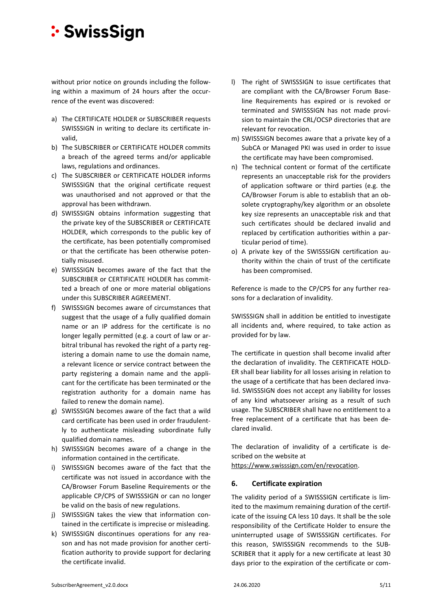without prior notice on grounds including the following within a maximum of 24 hours after the occurrence of the event was discovered:

- a) The CERTIFICATE HOLDER or SUBSCRIBER requests SWISSSIGN in writing to declare its certificate invalid,
- b) The SUBSCRIBER or CERTIFICATE HOLDER commits a breach of the agreed terms and/or applicable laws, regulations and ordinances.
- c) The SUBSCRIBER or CERTIFICATE HOLDER informs SWISSSIGN that the original certificate request was unauthorised and not approved or that the approval has been withdrawn.
- d) SWISSSIGN obtains information suggesting that the private key of the SUBSCRIBER or CERTIFICATE HOLDER, which corresponds to the public key of the certificate, has been potentially compromised or that the certificate has been otherwise potentially misused.
- e) SWISSSIGN becomes aware of the fact that the SUBSCRIBER or CERTIFICATE HOLDER has committed a breach of one or more material obligations under this SUBSCRIBER AGREEMENT.
- f) SWISSSIGN becomes aware of circumstances that suggest that the usage of a fully qualified domain name or an IP address for the certificate is no longer legally permitted (e.g. a court of law or arbitral tribunal has revoked the right of a party registering a domain name to use the domain name, a relevant licence or service contract between the party registering a domain name and the applicant for the certificate has been terminated or the registration authority for a domain name has failed to renew the domain name).
- g) SWISSSIGN becomes aware of the fact that a wild card certificate has been used in order fraudulently to authenticate misleading subordinate fully qualified domain names.
- h) SWISSSIGN becomes aware of a change in the information contained in the certificate.
- i) SWISSSIGN becomes aware of the fact that the certificate was not issued in accordance with the CA/Browser Forum Baseline Requirements or the applicable CP/CPS of SWISSSIGN or can no longer be valid on the basis of new regulations.
- j) SWISSSIGN takes the view that information contained in the certificate is imprecise or misleading.
- k) SWISSSIGN discontinues operations for any reason and has not made provision for another certification authority to provide support for declaring the certificate invalid.
- l) The right of SWISSSIGN to issue certificates that are compliant with the CA/Browser Forum Baseline Requirements has expired or is revoked or terminated and SWISSSIGN has not made provision to maintain the CRL/OCSP directories that are relevant for revocation.
- m) SWISSSIGN becomes aware that a private key of a SubCA or Managed PKI was used in order to issue the certificate may have been compromised.
- n) The technical content or format of the certificate represents an unacceptable risk for the providers of application software or third parties (e.g. the CA/Browser Forum is able to establish that an obsolete cryptography/key algorithm or an obsolete key size represents an unacceptable risk and that such certificates should be declared invalid and replaced by certification authorities within a particular period of time).
- o) A private key of the SWISSSIGN certification authority within the chain of trust of the certificate has been compromised.

Reference is made to the CP/CPS for any further reasons for a declaration of invalidity.

SWISSSIGN shall in addition be entitled to investigate all incidents and, where required, to take action as provided for by law.

The certificate in question shall become invalid after the declaration of invalidity. The CERTIFICATE HOLD-ER shall bear liability for all losses arising in relation to the usage of a certificate that has been declared invalid. SWISSSIGN does not accept any liability for losses of any kind whatsoever arising as a result of such usage. The SUBSCRIBER shall have no entitlement to a free replacement of a certificate that has been declared invalid.

The declaration of invalidity of a certificate is described on the website at

[https://www.swisssign.com/en/revocation.](https://www.swisssign.com/en/revocation)

# <span id="page-4-0"></span>**6. Certificate expiration**

The validity period of a SWISSSIGN certificate is limited to the maximum remaining duration of the certificate of the issuing CA less 10 days. It shall be the sole responsibility of the Certificate Holder to ensure the uninterrupted usage of SWISSSIGN certificates. For this reason, SWISSSIGN recommends to the SUB-SCRIBER that it apply for a new certificate at least 30 days prior to the expiration of the certificate or com-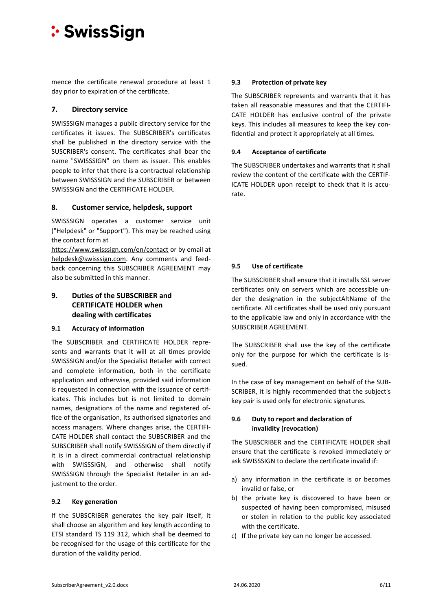mence the certificate renewal procedure at least 1 day prior to expiration of the certificate.

# <span id="page-5-0"></span>**7. Directory service**

SWISSSIGN manages a public directory service for the certificates it issues. The SUBSCRIBER's certificates shall be published in the directory service with the SUSCRIBER's consent. The certificates shall bear the name "SWISSSIGN" on them as issuer. This enables people to infer that there is a contractual relationship between SWISSSIGN and the SUBSCRIBER or between SWISSSIGN and the CERTIFICATE HOLDER.

# <span id="page-5-1"></span>**8. Customer service, helpdesk, support**

SWISSSIGN operates a customer service unit ("Helpdesk" or "Support"). This may be reached using the contact form at

<https://www.swisssign.com/en/contact> or by email at [helpdesk@swisssign.com.](mailto:helpdesk@swisssign.com) Any comments and feedback concerning this SUBSCRIBER AGREEMENT may also be submitted in this manner.

# <span id="page-5-2"></span>**9. Duties of the SUBSCRIBER and CERTIFICATE HOLDER when dealing with certificates**

# <span id="page-5-3"></span>**9.1 Accuracy of information**

The SUBSCRIBER and CERTIFICATE HOLDER represents and warrants that it will at all times provide SWISSSIGN and/or the Specialist Retailer with correct and complete information, both in the certificate application and otherwise, provided said information is requested in connection with the issuance of certificates. This includes but is not limited to domain names, designations of the name and registered office of the organisation, its authorised signatories and access managers. Where changes arise, the CERTIFI-CATE HOLDER shall contact the SUBSCRIBER and the SUBSCRIBER shall notify SWISSSIGN of them directly if it is in a direct commercial contractual relationship with SWISSSIGN, and otherwise shall notify SWISSSIGN through the Specialist Retailer in an adjustment to the order.

# <span id="page-5-4"></span>**9.2 Key generation**

If the SUBSCRIBER generates the key pair itself, it shall choose an algorithm and key length according to ETSI standard TS 119 312, which shall be deemed to be recognised for the usage of this certificate for the duration of the validity period.

# <span id="page-5-5"></span>**9.3 Protection of private key**

The SUBSCRIBER represents and warrants that it has taken all reasonable measures and that the CERTIFI-CATE HOLDER has exclusive control of the private keys. This includes all measures to keep the key confidential and protect it appropriately at all times.

### <span id="page-5-6"></span>**9.4 Acceptance of certificate**

The SUBSCRIBER undertakes and warrants that it shall review the content of the certificate with the CERTIF-ICATE HOLDER upon receipt to check that it is accurate.

# <span id="page-5-7"></span>**9.5 Use of certificate**

The SUBSCRIBER shall ensure that it installs SSL server certificates only on servers which are accessible under the designation in the subjectAltName of the certificate. All certificates shall be used only pursuant to the applicable law and only in accordance with the SUBSCRIBER AGREEMENT.

The SUBSCRIBER shall use the key of the certificate only for the purpose for which the certificate is issued.

In the case of key management on behalf of the SUB-SCRIBER, it is highly recommended that the subject's key pair is used only for electronic signatures.

# <span id="page-5-8"></span>**9.6 Duty to report and declaration of invalidity (revocation)**

The SUBSCRIBER and the CERTIFICATE HOLDER shall ensure that the certificate is revoked immediately or ask SWISSSIGN to declare the certificate invalid if:

- a) any information in the certificate is or becomes invalid or false, or
- b) the private key is discovered to have been or suspected of having been compromised, misused or stolen in relation to the public key associated with the certificate.
- c) If the private key can no longer be accessed.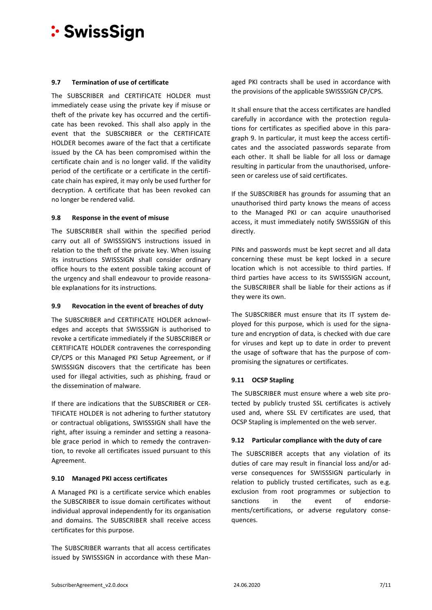#### <span id="page-6-0"></span>**9.7 Termination of use of certificate**

The SUBSCRIBER and CERTIFICATE HOLDER must immediately cease using the private key if misuse or theft of the private key has occurred and the certificate has been revoked. This shall also apply in the event that the SUBSCRIBER or the CERTIFICATE HOLDER becomes aware of the fact that a certificate issued by the CA has been compromised within the certificate chain and is no longer valid. If the validity period of the certificate or a certificate in the certificate chain has expired, it may only be used further for decryption. A certificate that has been revoked can no longer be rendered valid.

#### <span id="page-6-1"></span>**9.8 Response in the event of misuse**

The SUBSCRIBER shall within the specified period carry out all of SWISSSIGN'S instructions issued in relation to the theft of the private key. When issuing its instructions SWISSSIGN shall consider ordinary office hours to the extent possible taking account of the urgency and shall endeavour to provide reasonable explanations for its instructions.

#### <span id="page-6-2"></span>**9.9 Revocation in the event of breaches of duty**

The SUBSCRIBER and CERTIFICATE HOLDER acknowledges and accepts that SWISSSIGN is authorised to revoke a certificate immediately if the SUBSCRIBER or CERTIFICATE HOLDER contravenes the corresponding CP/CPS or this Managed PKI Setup Agreement, or if SWISSSIGN discovers that the certificate has been used for illegal activities, such as phishing, fraud or the dissemination of malware.

If there are indications that the SUBSCRIBER or CER-TIFICATE HOLDER is not adhering to further statutory or contractual obligations, SWISSSIGN shall have the right, after issuing a reminder and setting a reasonable grace period in which to remedy the contravention, to revoke all certificates issued pursuant to this Agreement.

#### <span id="page-6-3"></span>**9.10 Managed PKI access certificates**

A Managed PKI is a certificate service which enables the SUBSCRIBER to issue domain certificates without individual approval independently for its organisation and domains. The SUBSCRIBER shall receive access certificates for this purpose.

The SUBSCRIBER warrants that all access certificates issued by SWISSSIGN in accordance with these Managed PKI contracts shall be used in accordance with the provisions of the applicable SWISSSIGN CP/CPS.

It shall ensure that the access certificates are handled carefully in accordance with the protection regulations for certificates as specified above in this paragraph [9.](#page-5-2) In particular, it must keep the access certificates and the associated passwords separate from each other. It shall be liable for all loss or damage resulting in particular from the unauthorised, unforeseen or careless use of said certificates.

If the SUBSCRIBER has grounds for assuming that an unauthorised third party knows the means of access to the Managed PKI or can acquire unauthorised access, it must immediately notify SWISSSIGN of this directly.

PINs and passwords must be kept secret and all data concerning these must be kept locked in a secure location which is not accessible to third parties. If third parties have access to its SWISSSIGN account, the SUBSCRIBER shall be liable for their actions as if they were its own.

The SUBSCRIBER must ensure that its IT system deployed for this purpose, which is used for the signature and encryption of data, is checked with due care for viruses and kept up to date in order to prevent the usage of software that has the purpose of compromising the signatures or certificates.

#### <span id="page-6-4"></span>**9.11 OCSP Stapling**

The SUBSCRIBER must ensure where a web site protected by publicly trusted SSL certificates is actively used and, where SSL EV certificates are used, that OCSP Stapling is implemented on the web server.

#### <span id="page-6-5"></span>**9.12 Particular compliance with the duty of care**

The SUBSCRIBER accepts that any violation of its duties of care may result in financial loss and/or adverse consequences for SWISSSIGN particularly in relation to publicly trusted certificates, such as e.g. exclusion from root programmes or subjection to sanctions in the event of endorsements/certifications, or adverse regulatory consequences.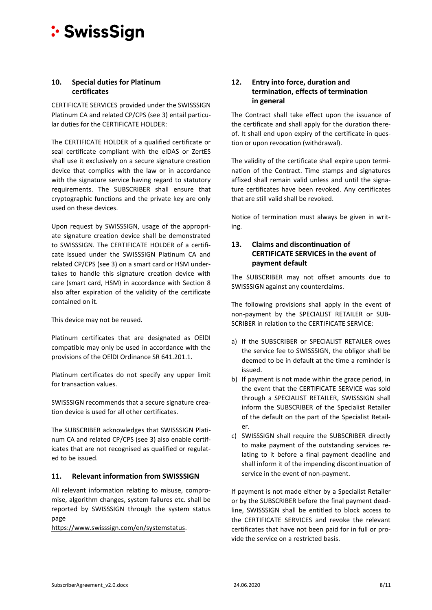#### <span id="page-7-0"></span>**10. Special duties for Platinum certificates**

CERTIFICATE SERVICES provided under the SWISSSIGN Platinum CA and related CP/CPS (see [3\)](#page-3-2) entail particular duties for the CERTIFICATE HOLDER:

The CERTIFICATE HOLDER of a qualified certificate or seal certificate compliant with the eIDAS or ZertES shall use it exclusively on a secure signature creation device that complies with the law or in accordance with the signature service having regard to statutory requirements. The SUBSCRIBER shall ensure that cryptographic functions and the private key are only used on these devices.

Upon request by SWISSSIGN, usage of the appropriate signature creation device shall be demonstrated to SWISSSIGN. The CERTIFICATE HOLDER of a certificate issued under the SWISSSIGN Platinum CA and related CP/CPS (se[e 3\)](#page-3-2) on a smart card or HSM undertakes to handle this signature creation device with care (smart card, HSM) in accordance with Section 8 also after expiration of the validity of the certificate contained on it.

This device may not be reused.

Platinum certificates that are designated as OElDI compatible may only be used in accordance with the provisions of the OElDI Ordinance SR 641.201.1.

Platinum certificates do not specify any upper limit for transaction values.

SWISSSIGN recommends that a secure signature creation device is used for all other certificates.

The SUBSCRIBER acknowledges that SWISSSIGN Platinum CA and related CP/CPS (see [3\)](#page-3-2) also enable certificates that are not recognised as qualified or regulated to be issued.

# <span id="page-7-1"></span>**11. Relevant information from SWISSSIGN**

All relevant information relating to misuse, compromise, algorithm changes, system failures etc. shall be reported by SWISSSIGN through the system status page

[https://www.swisssign.com/en/systemstatus.](https://www.swisssign.com/en/systemstatus)

# <span id="page-7-2"></span>**12. Entry into force, duration and termination, effects of termination in general**

The Contract shall take effect upon the issuance of the certificate and shall apply for the duration thereof. It shall end upon expiry of the certificate in question or upon revocation (withdrawal).

The validity of the certificate shall expire upon termination of the Contract. Time stamps and signatures affixed shall remain valid unless and until the signature certificates have been revoked. Any certificates that are still valid shall be revoked.

Notice of termination must always be given in writing.

# <span id="page-7-3"></span>**13. Claims and discontinuation of CERTIFICATE SERVICES in the event of payment default**

The SUBSCRIBER may not offset amounts due to SWISSSIGN against any counterclaims.

The following provisions shall apply in the event of non-payment by the SPECIALIST RETAILER or SUB-SCRIBER in relation to the CERTIFICATE SERVICE:

- a) If the SUBSCRIBER or SPECIALIST RETAILER owes the service fee to SWISSSIGN, the obligor shall be deemed to be in default at the time a reminder is issued.
- b) If payment is not made within the grace period, in the event that the CERTIFICATE SERVICE was sold through a SPECIALIST RETAILER, SWISSSIGN shall inform the SUBSCRIBER of the Specialist Retailer of the default on the part of the Specialist Retailer.
- c) SWISSSIGN shall require the SUBSCRIBER directly to make payment of the outstanding services relating to it before a final payment deadline and shall inform it of the impending discontinuation of service in the event of non-payment.

If payment is not made either by a Specialist Retailer or by the SUBSCRIBER before the final payment deadline, SWISSSIGN shall be entitled to block access to the CERTIFICATE SERVICES and revoke the relevant certificates that have not been paid for in full or provide the service on a restricted basis.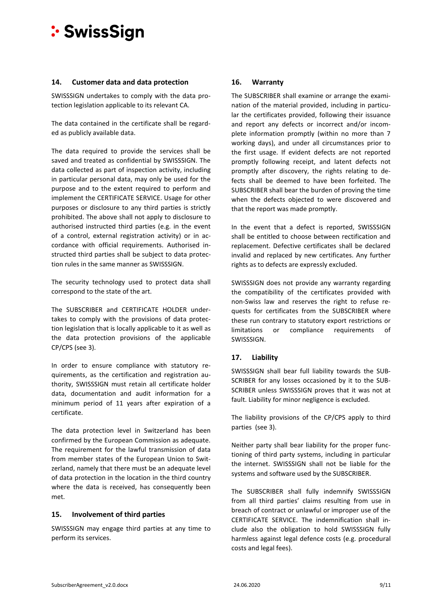#### <span id="page-8-0"></span>**14. Customer data and data protection**

SWISSSIGN undertakes to comply with the data protection legislation applicable to its relevant CA.

The data contained in the certificate shall be regarded as publicly available data.

The data required to provide the services shall be saved and treated as confidential by SWISSSIGN. The data collected as part of inspection activity, including in particular personal data, may only be used for the purpose and to the extent required to perform and implement the CERTIFICATE SERVICE. Usage for other purposes or disclosure to any third parties is strictly prohibited. The above shall not apply to disclosure to authorised instructed third parties (e.g. in the event of a control, external registration activity) or in accordance with official requirements. Authorised instructed third parties shall be subject to data protection rules in the same manner as SWISSSIGN.

The security technology used to protect data shall correspond to the state of the art.

The SUBSCRIBER and CERTIFICATE HOLDER undertakes to comply with the provisions of data protection legislation that is locally applicable to it as well as the data protection provisions of the applicable CP/CPS (see [3\)](#page-3-2).

In order to ensure compliance with statutory requirements, as the certification and registration authority, SWISSSIGN must retain all certificate holder data, documentation and audit information for a minimum period of 11 years after expiration of a certificate.

The data protection level in Switzerland has been confirmed by the European Commission as adequate. The requirement for the lawful transmission of data from member states of the European Union to Switzerland, namely that there must be an adequate level of data protection in the location in the third country where the data is received, has consequently been met.

#### <span id="page-8-1"></span>**15. Involvement of third parties**

SWISSSIGN may engage third parties at any time to perform its services.

# <span id="page-8-2"></span>**16. Warranty**

The SUBSCRIBER shall examine or arrange the examination of the material provided, including in particular the certificates provided, following their issuance and report any defects or incorrect and/or incomplete information promptly (within no more than 7 working days), and under all circumstances prior to the first usage. If evident defects are not reported promptly following receipt, and latent defects not promptly after discovery, the rights relating to defects shall be deemed to have been forfeited. The SUBSCRIBER shall bear the burden of proving the time when the defects objected to were discovered and that the report was made promptly.

In the event that a defect is reported, SWISSSIGN shall be entitled to choose between rectification and replacement. Defective certificates shall be declared invalid and replaced by new certificates. Any further rights as to defects are expressly excluded.

SWISSSIGN does not provide any warranty regarding the compatibility of the certificates provided with non-Swiss law and reserves the right to refuse requests for certificates from the SUBSCRIBER where these run contrary to statutory export restrictions or limitations or compliance requirements of SWISSSIGN.

# <span id="page-8-3"></span>**17. Liability**

SWISSSIGN shall bear full liability towards the SUB-SCRIBER for any losses occasioned by it to the SUB-SCRIBER unless SWISSSIGN proves that it was not at fault. Liability for minor negligence is excluded.

The liability provisions of the CP/CPS apply to third parties (se[e 3\)](#page-3-2).

Neither party shall bear liability for the proper functioning of third party systems, including in particular the internet. SWISSSIGN shall not be liable for the systems and software used by the SUBSCRIBER.

The SUBSCRIBER shall fully indemnify SWISSSIGN from all third parties' claims resulting from use in breach of contract or unlawful or improper use of the CERTIFICATE SERVICE. The indemnification shall include also the obligation to hold SWISSSIGN fully harmless against legal defence costs (e.g. procedural costs and legal fees).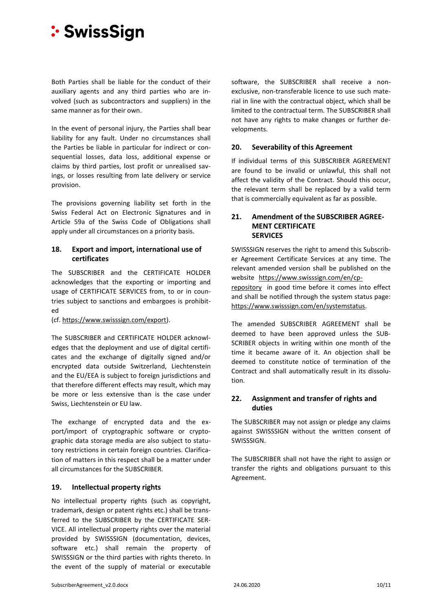Both Parties shall be liable for the conduct of their auxiliary agents and any third parties who are involved (such as subcontractors and suppliers) in the same manner as for their own.

In the event of personal injury, the Parties shall bear liability for any fault. Under no circumstances shall the Parties be liable in particular for indirect or consequential losses, data loss, additional expense or claims by third parties, lost profit or unrealised savings, or losses resulting from late delivery or service provision.

The provisions governing liability set forth in the Swiss Federal Act on Electronic Signatures and in Article 59a of the Swiss Code of Obligations shall apply under all circumstances on a priority basis.

### <span id="page-9-0"></span>**18. Export and import, international use of certificates**

The SUBSCRIBER and the CERTIFICATE HOLDER acknowledges that the exporting or importing and usage of CERTIFICATE SERVICES from, to or in countries subject to sanctions and embargoes is prohibited

(cf. [https://www.swisssign.com/export\)](https://www.swisssign.com/export).

The SUBSCRIBER and CERTIFICATE HOLDER acknowledges that the deployment and use of digital certificates and the exchange of digitally signed and/or encrypted data outside Switzerland, Liechtenstein and the EU/EEA is subject to foreign jurisdictions and that therefore different effects may result, which may be more or less extensive than is the case under Swiss, Liechtenstein or EU law.

The exchange of encrypted data and the export/import of cryptographic software or cryptographic data storage media are also subject to statutory restrictions in certain foreign countries. Clarification of matters in this respect shall be a matter under all circumstances for the SUBSCRIBER.

# <span id="page-9-1"></span>**19. Intellectual property rights**

No intellectual property rights (such as copyright, trademark, design or patent rights etc.) shall be transferred to the SUBSCRIBER by the CERTIFICATE SER-VICE. All intellectual property rights over the material provided by SWISSSIGN (documentation, devices, software etc.) shall remain the property of SWISSSIGN or the third parties with rights thereto. In the event of the supply of material or executable

software, the SUBSCRIBER shall receive a nonexclusive, non-transferable licence to use such material in line with the contractual object, which shall be limited to the contractual term. The SUBSCRIBER shall not have any rights to make changes or further developments.

#### <span id="page-9-2"></span>**20. Severability of this Agreement**

If individual terms of this SUBSCRIBER AGREEMENT are found to be invalid or unlawful, this shall not affect the validity of the Contract. Should this occur, the relevant term shall be replaced by a valid term that is commercially equivalent as far as possible.

#### <span id="page-9-3"></span>**21. Amendment of the SUBSCRIBER AGREE-MENT CERTIFICATE SERVICES**

SWISSSIGN reserves the right to amend this Subscriber Agreement Certificate Services at any time. The relevant amended version shall be published on the website [https://www.swisssign.com/en/cp](https://www.swisssign.com/en/cp-repository)[repository](https://www.swisssign.com/en/cp-repository) in good time before it comes into effect and shall be notified through the system status page: [https://www.swisssign.com/en/systemstatus.](https://www.swisssign.com/en/systemstatus)

The amended SUBSCRIBER AGREEMENT shall be deemed to have been approved unless the SUB-SCRIBER objects in writing within one month of the time it became aware of it. An objection shall be deemed to constitute notice of termination of the Contract and shall automatically result in its dissolution.

# <span id="page-9-4"></span>**22. Assignment and transfer of rights and duties**

The SUBSCRIBER may not assign or pledge any claims against SWISSSIGN without the written consent of SWISSSIGN.

The SUBSCRIBER shall not have the right to assign or transfer the rights and obligations pursuant to this Agreement.